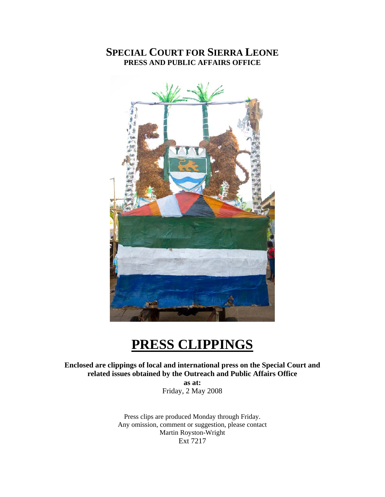## **SPECIAL COURT FOR SIERRA LEONE PRESS AND PUBLIC AFFAIRS OFFICE**



# **PRESS CLIPPINGS**

**Enclosed are clippings of local and international press on the Special Court and related issues obtained by the Outreach and Public Affairs Office** 

**as at:**  Friday, 2 May 2008

Press clips are produced Monday through Friday. Any omission, comment or suggestion, please contact Martin Royston-Wright Ext 7217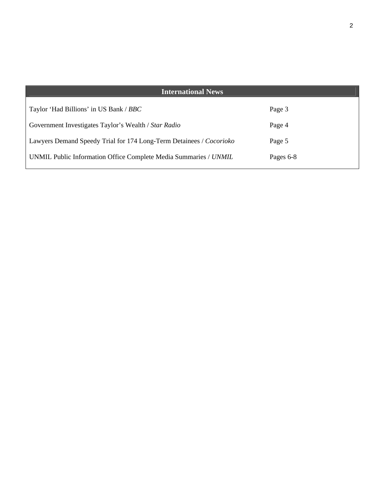| <b>International News</b>                                           |           |
|---------------------------------------------------------------------|-----------|
| Taylor 'Had Billions' in US Bank / BBC                              | Page 3    |
| Government Investigates Taylor's Wealth / Star Radio                | Page 4    |
| Lawyers Demand Speedy Trial for 174 Long-Term Detainees / Cocorioko | Page 5    |
| UNMIL Public Information Office Complete Media Summaries / UNMIL    | Pages 6-8 |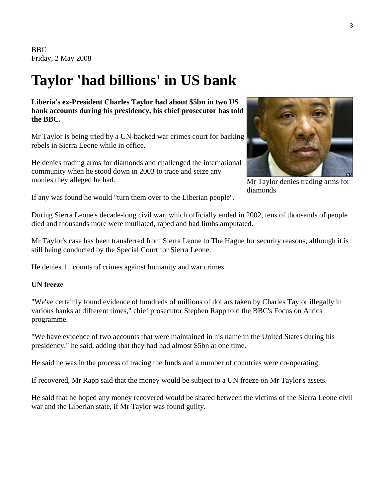BBC Friday, 2 May 2008

# **Taylor 'had billions' in US bank**

**Liberia's ex-President Charles Taylor had about \$5bn in two US bank accounts during his presidency, his chief prosecutor has told the BBC.**

Mr Taylor is being tried by a UN-backed war crimes court for backing rebels in Sierra Leone while in office.

He denies trading arms for diamonds and challenged the international community when he stood down in 2003 to trace and seize any monies they alleged he had.



Mr Taylor denies trading arms for diamonds

If any was found he would "turn them over to the Liberian people".

During Sierra Leone's decade-long civil war, which officially ended in 2002, tens of thousands of people died and thousands more were mutilated, raped and had limbs amputated.

Mr Taylor's case has been transferred from Sierra Leone to The Hague for security reasons, although it is still being conducted by the Special Court for Sierra Leone.

He denies 11 counts of crimes against humanity and war crimes.

#### **UN freeze**

"We've certainly found evidence of hundreds of millions of dollars taken by Charles Taylor illegally in various banks at different times," chief prosecutor Stephen Rapp told the BBC's Focus on Africa programme.

"We have evidence of two accounts that were maintained in his name in the United States during his presidency," he said, adding that they had had almost \$5bn at one time.

He said he was in the process of tracing the funds and a number of countries were co-operating.

If recovered, Mr Rapp said that the money would be subject to a UN freeze on Mr Taylor's assets.

He said that he hoped any money recovered would be shared between the victims of the Sierra Leone civil war and the Liberian state, if Mr Taylor was found guilty.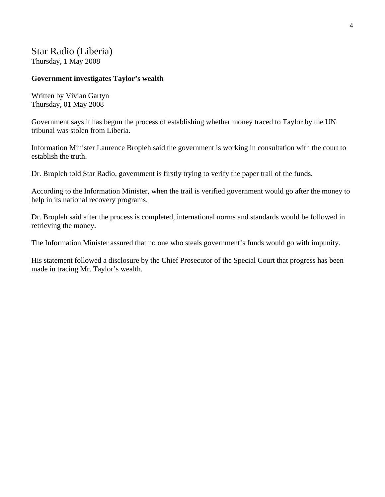# Star Radio (Liberia)

Thursday, 1 May 2008

### **Government investigates Taylor's wealth**

Written by Vivian Gartyn Thursday, 01 May 2008

Government says it has begun the process of establishing whether money traced to Taylor by the UN tribunal was stolen from Liberia.

Information Minister Laurence Bropleh said the government is working in consultation with the court to establish the truth.

Dr. Bropleh told Star Radio, government is firstly trying to verify the paper trail of the funds.

According to the Information Minister, when the trail is verified government would go after the money to help in its national recovery programs.

Dr. Bropleh said after the process is completed, international norms and standards would be followed in retrieving the money.

The Information Minister assured that no one who steals government's funds would go with impunity.

His statement followed a disclosure by the Chief Prosecutor of the Special Court that progress has been made in tracing Mr. Taylor's wealth.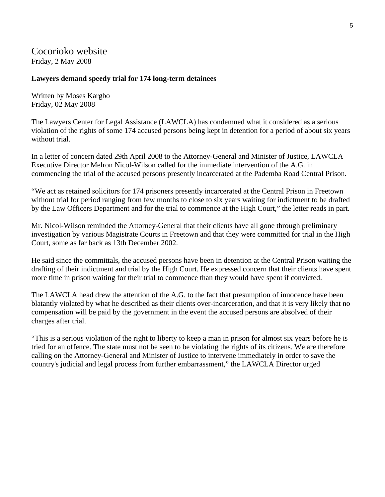## Cocorioko website Friday, 2 May 2008

#### **Lawyers demand speedy trial for 174 long-term detainees**

Written by Moses Kargbo Friday, 02 May 2008

The Lawyers Center for Legal Assistance (LAWCLA) has condemned what it considered as a serious violation of the rights of some 174 accused persons being kept in detention for a period of about six years without trial.

In a letter of concern dated 29th April 2008 to the Attorney-General and Minister of Justice, LAWCLA Executive Director Melron Nicol-Wilson called for the immediate intervention of the A.G. in commencing the trial of the accused persons presently incarcerated at the Pademba Road Central Prison.

"We act as retained solicitors for 174 prisoners presently incarcerated at the Central Prison in Freetown without trial for period ranging from few months to close to six years waiting for indictment to be drafted by the Law Officers Department and for the trial to commence at the High Court," the letter reads in part.

Mr. Nicol-Wilson reminded the Attorney-General that their clients have all gone through preliminary investigation by various Magistrate Courts in Freetown and that they were committed for trial in the High Court, some as far back as 13th December 2002.

He said since the committals, the accused persons have been in detention at the Central Prison waiting the drafting of their indictment and trial by the High Court. He expressed concern that their clients have spent more time in prison waiting for their trial to commence than they would have spent if convicted.

The LAWCLA head drew the attention of the A.G. to the fact that presumption of innocence have been blatantly violated by what he described as their clients over-incarceration, and that it is very likely that no compensation will be paid by the government in the event the accused persons are absolved of their charges after trial.

"This is a serious violation of the right to liberty to keep a man in prison for almost six years before he is tried for an offence. The state must not be seen to be violating the rights of its citizens. We are therefore calling on the Attorney-General and Minister of Justice to intervene immediately in order to save the country's judicial and legal process from further embarrassment," the LAWCLA Director urged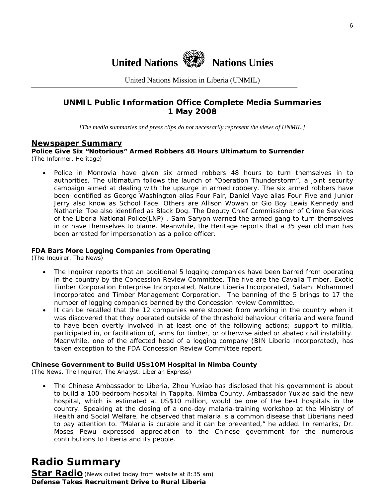

United Nations Mission in Liberia (UNMIL)

## **UNMIL Public Information Office Complete Media Summaries 1 May 2008**

*[The media summaries and press clips do not necessarily represent the views of UNMIL.]* 

#### **Newspaper Summary**

**Police Give Six "Notorious" Armed Robbers 48 Hours Ultimatum to Surrender**  (The Informer, Heritage)

• Police in Monrovia have given six armed robbers 48 hours to turn themselves in to authorities. The ultimatum follows the launch of "Operation Thunderstorm", a joint security campaign aimed at dealing with the upsurge in armed robbery. The six armed robbers have been identified as George Washington alias Four Fair, Daniel Vaye alias Four Five and Junior Jerry also know as School Face. Others are Allison Wowah or Gio Boy Lewis Kennedy and Nathaniel Toe also identified as Black Dog. The Deputy Chief Commissioner of Crime Services of the Liberia National Police(LNP) , Sam Saryon warned the armed gang to turn themselves in or have themselves to blame. Meanwhile, the Heritage reports that a 35 year old man has been arrested for impersonation as a police officer.

#### **FDA Bars More Logging Companies from Operating**

(The Inquirer, The News)

- The Inquirer reports that an additional 5 logging companies have been barred from operating in the country by the Concession Review Committee. The five are the Cavalla Timber, Exotic Timber Corporation Enterprise Incorporated, Nature Liberia Incorporated, Salami Mohammed Incorporated and Timber Management Corporation. The banning of the 5 brings to 17 the number of logging companies banned by the Concession review Committee.
- It can be recalled that the 12 companies were stopped from working in the country when it was discovered that they operated outside of the threshold behaviour criteria and were found to have been overtly involved in at least one of the following actions; support to militia, participated in, or facilitation of, arms for timber, or otherwise aided or abated civil instability. Meanwhile, one of the affected head of a logging company (BIN Liberia Incorporated), has taken exception to the FDA Concession Review Committee report.

#### **Chinese Government to Build US\$10M Hospital in Nimba County**

(The News, The Inquirer, The Analyst, Liberian Express)

• The Chinese Ambassador to Liberia, Zhou Yuxiao has disclosed that his government is about to build a 100-bedroom-hospital in Tappita, Nimba County. Ambassador Yuxiao said the new hospital, which is estimated at US\$10 million, would be one of the best hospitals in the country. Speaking at the closing of a one-day malaria-training workshop at the Ministry of Health and Social Welfare, he observed that malaria is a common disease that Liberians need to pay attention to. "Malaria is curable and it can be prevented," he added. In remarks, Dr. Moses Pewu expressed appreciation to the Chinese government for the numerous contributions to Liberia and its people.

## **Radio Summary**

**Star Radio***(News culled today from website at 8:35 am)*  **Defense Takes Recruitment Drive to Rural Liberia**